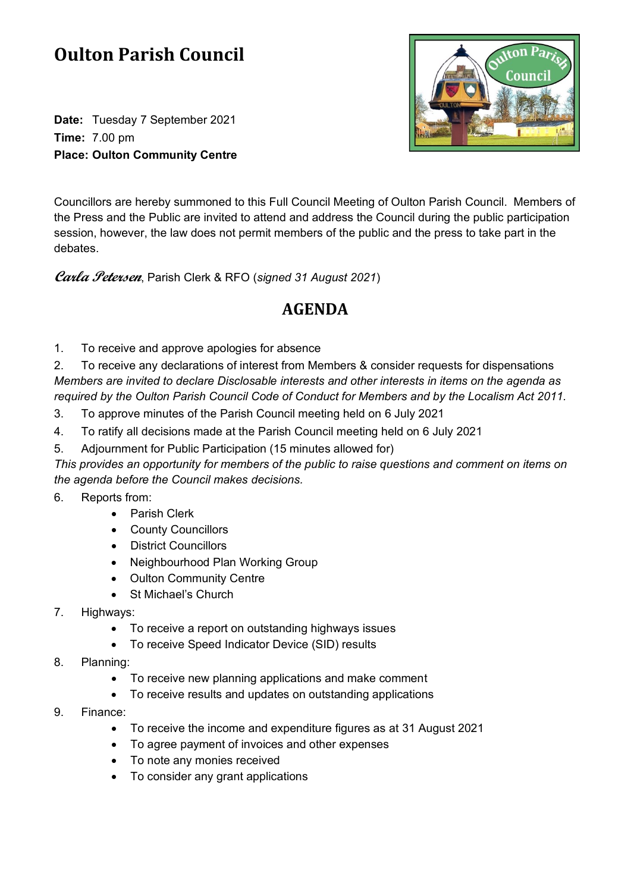## **Oulton Parish Council**

**Date:** Tuesday 7 September 2021 **Time:** 7.00 pm **Place: Oulton Community Centre**



Councillors are hereby summoned to this Full Council Meeting of Oulton Parish Council. Members of the Press and the Public are invited to attend and address the Council during the public participation session, however, the law does not permit members of the public and the press to take part in the debates.

**Carla Petersen**, Parish Clerk & RFO (*signed 31 August 2021*)

## **AGENDA**

1. To receive and approve apologies for absence

2. To receive any declarations of interest from Members & consider requests for dispensations *Members are invited to declare Disclosable interests and other interests in items on the agenda as required by the Oulton Parish Council Code of Conduct for Members and by the Localism Act 2011.*

- 3. To approve minutes of the Parish Council meeting held on 6 July 2021
- 4. To ratify all decisions made at the Parish Council meeting held on 6 July 2021
- 5. Adjournment for Public Participation (15 minutes allowed for)

*This provides an opportunity for members of the public to raise questions and comment on items on the agenda before the Council makes decisions.*

- 6. Reports from:
	- Parish Clerk
	- County Councillors
	- District Councillors
	- Neighbourhood Plan Working Group
	- Oulton Community Centre
	- St Michael's Church
- 7. Highways:
	- To receive a report on outstanding highways issues
	- To receive Speed Indicator Device (SID) results
- 8. Planning:
	- To receive new planning applications and make comment
	- To receive results and updates on outstanding applications
- 9. Finance:
	- To receive the income and expenditure figures as at 31 August 2021
	- To agree payment of invoices and other expenses
	- To note any monies received
	- To consider any grant applications